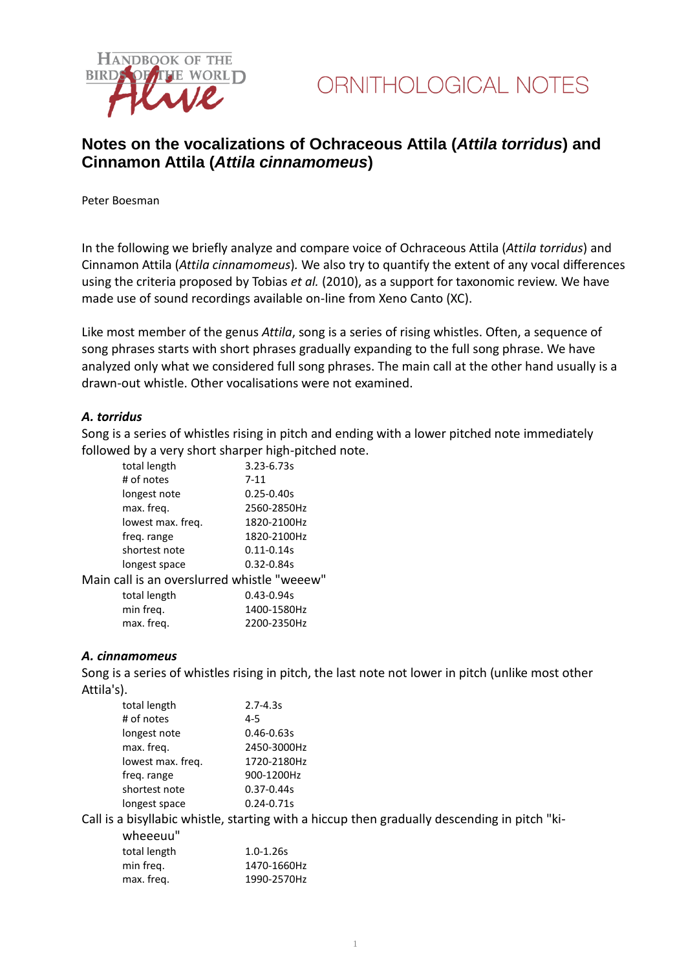

## **Notes on the vocalizations of Ochraceous Attila (***Attila torridus***) and Cinnamon Attila (***Attila cinnamomeus***)**

Peter Boesman

In the following we briefly analyze and compare voice of Ochraceous Attila (*Attila torridus*) and Cinnamon Attila (*Attila cinnamomeus*)*.* We also try to quantify the extent of any vocal differences using the criteria proposed by Tobias *et al.* (2010), as a support for taxonomic review. We have made use of sound recordings available on-line from Xeno Canto (XC).

Like most member of the genus *Attila*, song is a series of rising whistles. Often, a sequence of song phrases starts with short phrases gradually expanding to the full song phrase. We have analyzed only what we considered full song phrases. The main call at the other hand usually is a drawn-out whistle. Other vocalisations were not examined.

#### *A. torridus*

Song is a series of whistles rising in pitch and ending with a lower pitched note immediately followed by a very short sharper high-pitched note.

| total length                                | $3.23 - 6.73s$ |  |
|---------------------------------------------|----------------|--|
| # of notes                                  | $7 - 11$       |  |
| longest note                                | $0.25 - 0.40s$ |  |
| max. freq.                                  | 2560-2850Hz    |  |
| lowest max. freq.                           | 1820-2100Hz    |  |
| freq. range                                 | 1820-2100Hz    |  |
| shortest note                               | $0.11 - 0.14s$ |  |
| longest space                               | $0.32 - 0.84s$ |  |
| Main call is an overslurred whistle "weeew" |                |  |
| total length                                | $0.43 - 0.94s$ |  |
| min freg.                                   | 1400-1580Hz    |  |
| max. freg.                                  | 2200-2350Hz    |  |

#### *A. cinnamomeus*

Song is a series of whistles rising in pitch, the last note not lower in pitch (unlike most other Attila's).

| total length      | $2.7 - 4.3s$                                                                                 |
|-------------------|----------------------------------------------------------------------------------------------|
|                   |                                                                                              |
| # of notes        | $4 - 5$                                                                                      |
| longest note      | $0.46 - 0.63s$                                                                               |
| max. freg.        | 2450-3000Hz                                                                                  |
| lowest max. freg. | 1720-2180Hz                                                                                  |
| freq. range       | 900-1200Hz                                                                                   |
| shortest note     | $0.37 - 0.44s$                                                                               |
| longest space     | $0.24 - 0.71s$                                                                               |
|                   | Call is a bisyllabic whistle, starting with a hiccup then gradually descending in pitch "ki- |
| wheeeuu"          |                                                                                              |
| total length      | $1.0 - 1.26s$                                                                                |
| min freq.         | 1470-1660Hz                                                                                  |
| max. freg.        | 1990-2570Hz                                                                                  |
|                   |                                                                                              |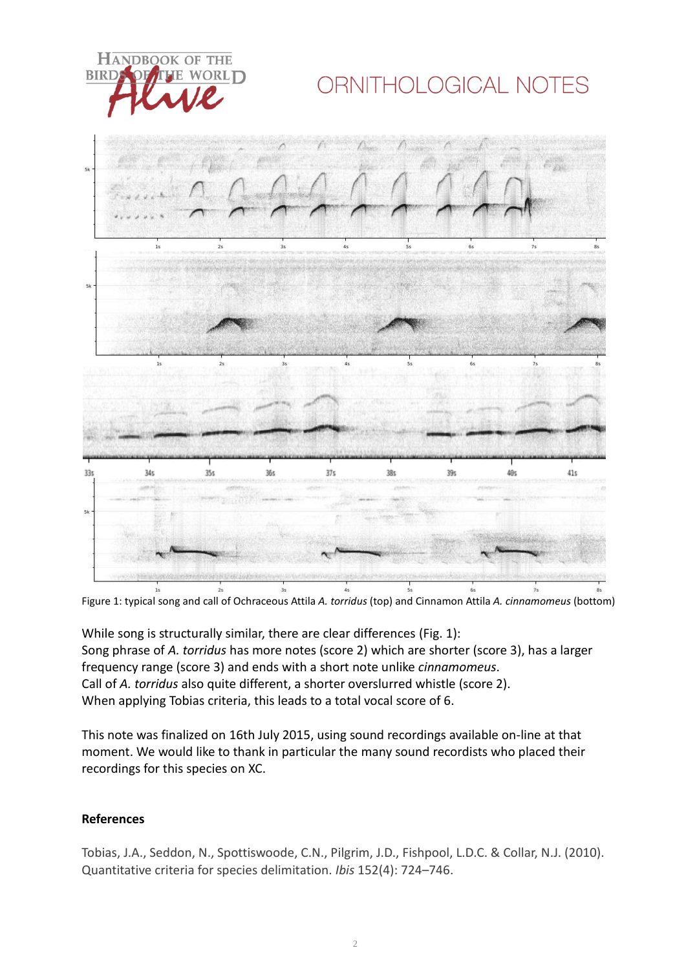**HANDBOOK OF THE BIRE** WORLD

# ORNITHOLOGICAL NOTES



Figure 1: typical song and call of Ochraceous Attila *A. torridus* (top) and Cinnamon Attila *A. cinnamomeus* (bottom)

While song is structurally similar, there are clear differences (Fig. 1): Song phrase of *A. torridus* has more notes (score 2) which are shorter (score 3), has a larger frequency range (score 3) and ends with a short note unlike *cinnamomeus*. Call of *A. torridus* also quite different, a shorter overslurred whistle (score 2). When applying Tobias criteria, this leads to a total vocal score of 6.

This note was finalized on 16th July 2015, using sound recordings available on-line at that moment. We would like to thank in particular the many sound recordists who placed their recordings for this species on XC.

### **References**

Tobias, J.A., Seddon, N., Spottiswoode, C.N., Pilgrim, J.D., Fishpool, L.D.C. & Collar, N.J. (2010). Quantitative criteria for species delimitation. *Ibis* 152(4): 724–746.